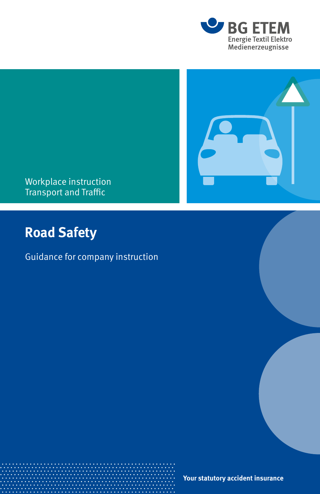

### Workplace instruction Transport and Traffic

# **Road Safety**

## Guidance for company instruction

**Your statutory accident insurance**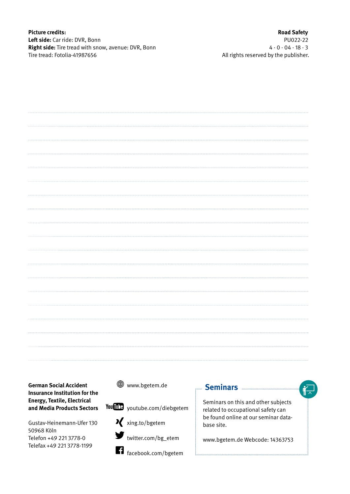**Picture credits: Left side:** Car ride: DVR, Bonn **Right side:** Tire tread with snow, avenue: DVR, Bonn Tire tread: Fotolia-41987656

**Road Safety** PU022-22  $4 \cdot 0 \cdot 04 \cdot 18 \cdot 3$ All rights reserved by the publisher.

**German Social Accident Insurance Institution for the Energy, Textile, Electrical and Media Products Sectors**

Gustav-Heinemann-Ufer 130 50968 Köln Telefon +49 221 3778-0 Telefax +49 221 3778-1199



facebook.com/bgetem

### **Seminars <b>Communist** Seminars **Communist**

Seminars on this and other subjects related to occupational safety can be found online at our seminar database site.

www.bgetem.de Webcode: 14363753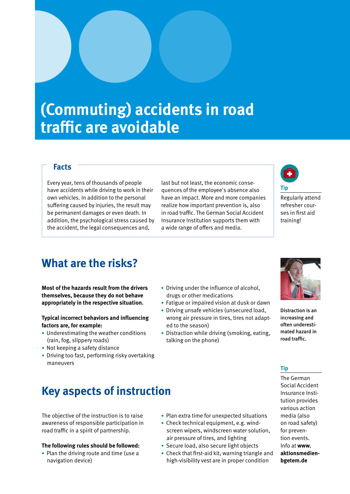# **(Commuting) accidents in road traffic are avoidable**

#### **Facts**

Every year, tens of thousands of people have accidents while driving to work in their own vehicles. In addition to the personal suffering caused by injuries, the result may be permanent damages or even death. In addition, the psychological stress caused by the accident, the legal consequences and,

last but not least, the economic consequences of the employee's absence also have an impact. More and more companies realize how important prevention is, also in road traffic. The German Social Accident Insurance Institution supports them with a wide range of offers and media.



Regularly attend refresher courses in first aid training!

## **What are the risks?**

**Most of the hazards result from the drivers themselves, because they do not behave appropriately in the respective situation.** 

#### **Typical incorrect behaviors and influencing factors are, for example:**

- Underestimating the weather conditions (rain, fog, slippery roads)
- Not keeping a safety distance
- Driving too fast, performing risky overtaking maneuvers

# **Key aspects of instruction**

The objective of the instruction is to raise awareness of responsible participation in road traffic in a spirit of partnership.

#### **The following rules should be followed:**

• Plan the driving route and time (use a navigation device)

- Driving under the influence of alcohol, drugs or other medications
- Fatigue or impaired vision at dusk or dawn
- Driving unsafe vehicles (unsecured load, wrong air pressure in tires, tires not adapted to the season)
- Distraction while driving (smoking, eating, talking on the phone)



Distraction is an increasing and often underestimated hazard in road traffic.

### **Tip**

The German Social Accident Insurance Institution provides various action media (also on road safety) for prevention events. Info at **www. aktionsmedienbgetem.de**

- Plan extra time for unexpected situations
- Check technical equipment, e.g. windscreen wipers, windscreen water solution,
- air pressure of tires, and lighting • Secure load, also secure light objects
- 
- Check that first-aid kit, warning triangle and high-visibility vest are in proper condition